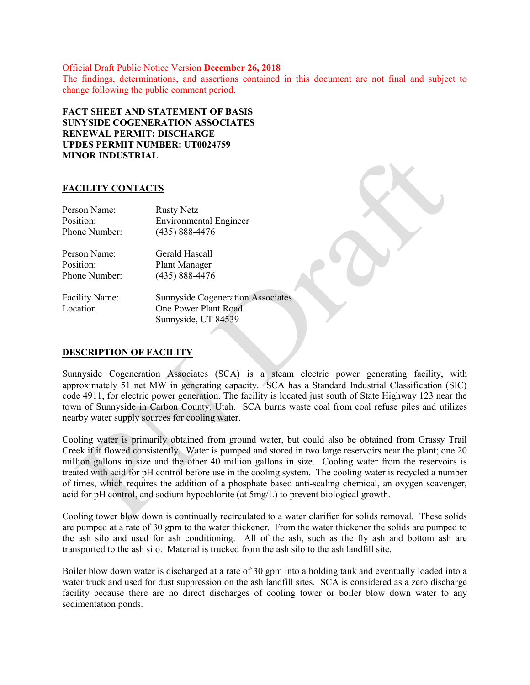Official Draft Public Notice Version December 26, 2018 The findings, determinations, and assertions contained in this document are not final and subject to change following the public comment period.

FACT SHEET AND STATEMENT OF BASIS SUNYSIDE COGENERATION ASSOCIATES RENEWAL PERMIT: DISCHARGE UPDES PERMIT NUMBER: UT0024759 MINOR INDUSTRIAL

#### FACILITY CONTACTS

| Person Name:          | <b>Rusty Netz</b>                        |
|-----------------------|------------------------------------------|
| Position:             | <b>Environmental Engineer</b>            |
| Phone Number:         | $(435) 888 - 4476$                       |
| Person Name:          | Gerald Hascall                           |
| Position:             | <b>Plant Manager</b>                     |
| Phone Number:         | $(435) 888 - 4476$                       |
| <b>Facility Name:</b> | <b>Sunnyside Cogeneration Associates</b> |
| Location              | One Power Plant Road                     |
|                       | Sunnyside, UT 84539                      |

# DESCRIPTION OF FACILITY

Sunnyside Cogeneration Associates (SCA) is a steam electric power generating facility, with approximately 51 net MW in generating capacity. SCA has a Standard Industrial Classification (SIC) code 4911, for electric power generation. The facility is located just south of State Highway 123 near the town of Sunnyside in Carbon County, Utah. SCA burns waste coal from coal refuse piles and utilizes nearby water supply sources for cooling water.

Cooling water is primarily obtained from ground water, but could also be obtained from Grassy Trail Creek if it flowed consistently. Water is pumped and stored in two large reservoirs near the plant; one 20 million gallons in size and the other 40 million gallons in size. Cooling water from the reservoirs is treated with acid for pH control before use in the cooling system. The cooling water is recycled a number of times, which requires the addition of a phosphate based anti-scaling chemical, an oxygen scavenger, acid for pH control, and sodium hypochlorite (at 5mg/L) to prevent biological growth.

Cooling tower blow down is continually recirculated to a water clarifier for solids removal. These solids are pumped at a rate of 30 gpm to the water thickener. From the water thickener the solids are pumped to the ash silo and used for ash conditioning. All of the ash, such as the fly ash and bottom ash are transported to the ash silo. Material is trucked from the ash silo to the ash landfill site.

Boiler blow down water is discharged at a rate of 30 gpm into a holding tank and eventually loaded into a water truck and used for dust suppression on the ash landfill sites. SCA is considered as a zero discharge facility because there are no direct discharges of cooling tower or boiler blow down water to any sedimentation ponds.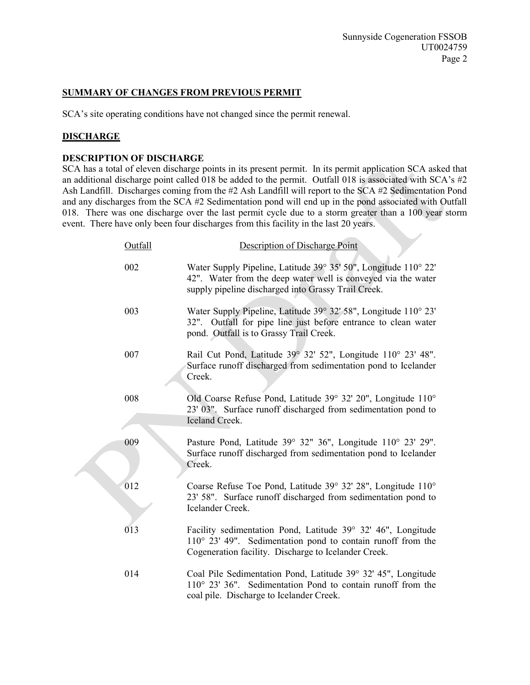# SUMMARY OF CHANGES FROM PREVIOUS PERMIT

SCA's site operating conditions have not changed since the permit renewal.

#### **DISCHARGE**

# DESCRIPTION OF DISCHARGE

SCA has a total of eleven discharge points in its present permit. In its permit application SCA asked that an additional discharge point called 018 be added to the permit. Outfall 018 is associated with SCA's #2 Ash Landfill. Discharges coming from the #2 Ash Landfill will report to the SCA #2 Sedimentation Pond and any discharges from the SCA #2 Sedimentation pond will end up in the pond associated with Outfall 018. There was one discharge over the last permit cycle due to a storm greater than a 100 year storm event. There have only been four discharges from this facility in the last 20 years.

| Outfall | Description of Discharge Point                                                                                                                                                               |
|---------|----------------------------------------------------------------------------------------------------------------------------------------------------------------------------------------------|
| 002     | Water Supply Pipeline, Latitude 39° 35' 50", Longitude 110° 22'<br>42". Water from the deep water well is conveyed via the water<br>supply pipeline discharged into Grassy Trail Creek.      |
| 003     | Water Supply Pipeline, Latitude 39° 32' 58", Longitude 110° 23'<br>32". Outfall for pipe line just before entrance to clean water<br>pond. Outfall is to Grassy Trail Creek.                 |
| 007     | Rail Cut Pond, Latitude 39° 32' 52", Longitude 110° 23' 48".<br>Surface runoff discharged from sedimentation pond to Icelander<br>Creek.                                                     |
| 008     | Old Coarse Refuse Pond, Latitude 39° 32′ 20", Longitude 110°<br>23' 03". Surface runoff discharged from sedimentation pond to<br><b>Iceland Creek.</b>                                       |
| 009     | Pasture Pond, Latitude 39° 32" 36", Longitude 110° 23' 29".<br>Surface runoff discharged from sedimentation pond to Icelander<br>Creek.                                                      |
| 012     | Coarse Refuse Toe Pond, Latitude 39° 32′ 28", Longitude 110°<br>23' 58". Surface runoff discharged from sedimentation pond to<br>Icelander Creek.                                            |
| 013     | Facility sedimentation Pond, Latitude 39° 32' 46", Longitude<br>$110^{\circ}$ 23' 49". Sedimentation pond to contain runoff from the<br>Cogeneration facility. Discharge to Icelander Creek. |
| 014     | Coal Pile Sedimentation Pond, Latitude 39° 32′ 45", Longitude<br>110° 23' 36". Sedimentation Pond to contain runoff from the<br>coal pile. Discharge to Icelander Creek.                     |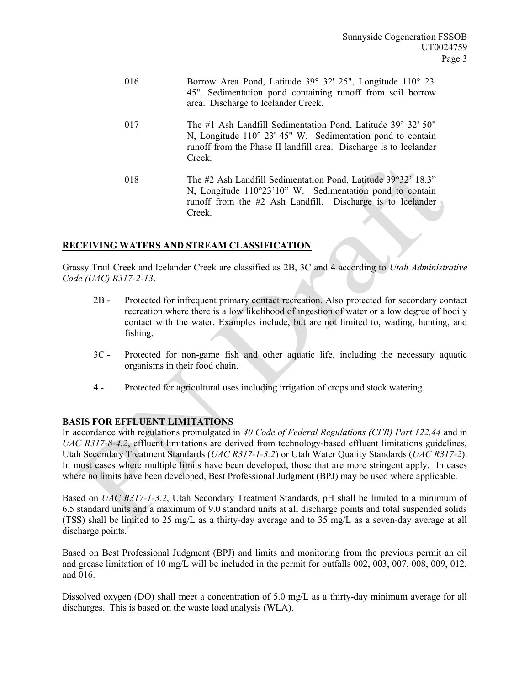| 016 | Borrow Area Pond, Latitude 39° 32′ 25", Longitude 110° 23'<br>45". Sedimentation pond containing runoff from soil borrow<br>area. Discharge to Icelander Creek.                                                    |
|-----|--------------------------------------------------------------------------------------------------------------------------------------------------------------------------------------------------------------------|
| 017 | The #1 Ash Landfill Sedimentation Pond, Latitude $39^{\circ}$ 32' 50"<br>N, Longitude 110° 23' 45" W. Sedimentation pond to contain<br>runoff from the Phase II landfill area. Discharge is to Icelander<br>Creek. |
| 018 | The #2 Ash Landfill Sedimentation Pond, Latitude 39°32' 18.3"<br>N, Longitude 110°23'10" W. Sedimentation pond to contain<br>runoff from the #2 Ash Landfill. Discharge is to Icelander<br>Creek.                  |

# RECEIVING WATERS AND STREAM CLASSIFICATION

Grassy Trail Creek and Icelander Creek are classified as 2B, 3C and 4 according to Utah Administrative Code (UAC) R317-2-13.

- 2B Protected for infrequent primary contact recreation. Also protected for secondary contact recreation where there is a low likelihood of ingestion of water or a low degree of bodily contact with the water. Examples include, but are not limited to, wading, hunting, and fishing.
- 3C Protected for non-game fish and other aquatic life, including the necessary aquatic organisms in their food chain.
- 4 Protected for agricultural uses including irrigation of crops and stock watering.

# BASIS FOR EFFLUENT LIMITATIONS

In accordance with regulations promulgated in 40 Code of Federal Regulations (CFR) Part 122.44 and in UAC R317-8-4.2, effluent limitations are derived from technology-based effluent limitations guidelines, Utah Secondary Treatment Standards (UAC R317-1-3.2) or Utah Water Quality Standards (UAC R317-2). In most cases where multiple limits have been developed, those that are more stringent apply. In cases where no limits have been developed, Best Professional Judgment (BPJ) may be used where applicable.

Based on UAC R317-1-3.2, Utah Secondary Treatment Standards, pH shall be limited to a minimum of 6.5 standard units and a maximum of 9.0 standard units at all discharge points and total suspended solids (TSS) shall be limited to 25 mg/L as a thirty-day average and to 35 mg/L as a seven-day average at all discharge points.

Based on Best Professional Judgment (BPJ) and limits and monitoring from the previous permit an oil and grease limitation of 10 mg/L will be included in the permit for outfalls 002, 003, 007, 008, 009, 012, and 016.

Dissolved oxygen (DO) shall meet a concentration of 5.0 mg/L as a thirty-day minimum average for all discharges. This is based on the waste load analysis (WLA).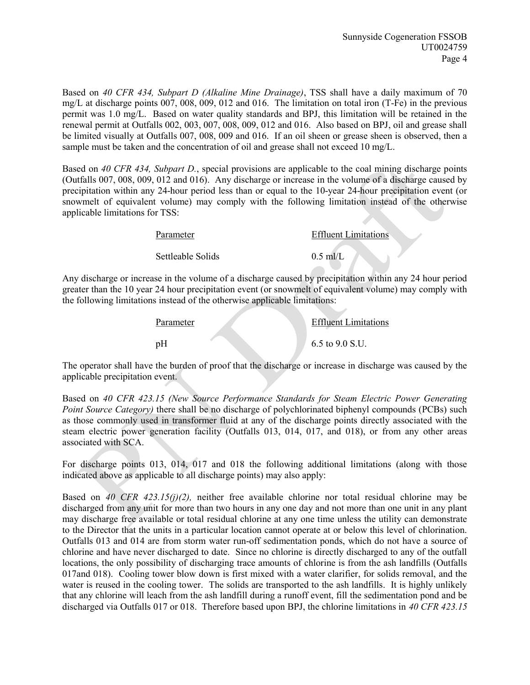Based on 40 CFR 434, Subpart D (Alkaline Mine Drainage), TSS shall have a daily maximum of 70 mg/L at discharge points 007, 008, 009, 012 and 016. The limitation on total iron (T-Fe) in the previous permit was 1.0 mg/L. Based on water quality standards and BPJ, this limitation will be retained in the renewal permit at Outfalls 002, 003, 007, 008, 009, 012 and 016. Also based on BPJ, oil and grease shall be limited visually at Outfalls 007, 008, 009 and 016. If an oil sheen or grease sheen is observed, then a sample must be taken and the concentration of oil and grease shall not exceed 10 mg/L.

Based on 40 CFR 434, Subpart D., special provisions are applicable to the coal mining discharge points (Outfalls 007, 008, 009, 012 and 016). Any discharge or increase in the volume of a discharge caused by precipitation within any 24-hour period less than or equal to the 10-year 24-hour precipitation event (or snowmelt of equivalent volume) may comply with the following limitation instead of the otherwise applicable limitations for TSS:

| Parameter         | <b>Effluent Limitations</b> |  |  |
|-------------------|-----------------------------|--|--|
| Settleable Solids | $0.5$ ml/L                  |  |  |

Any discharge or increase in the volume of a discharge caused by precipitation within any 24 hour period greater than the 10 year 24 hour precipitation event (or snowmelt of equivalent volume) may comply with the following limitations instead of the otherwise applicable limitations:

| Parameter | <b>Effluent Limitations</b> |
|-----------|-----------------------------|
| pH        | 6.5 to $9.0$ S.U.           |

The operator shall have the burden of proof that the discharge or increase in discharge was caused by the applicable precipitation event.

Based on 40 CFR 423.15 (New Source Performance Standards for Steam Electric Power Generating Point Source Category) there shall be no discharge of polychlorinated biphenyl compounds (PCBs) such as those commonly used in transformer fluid at any of the discharge points directly associated with the steam electric power generation facility (Outfalls 013, 014, 017, and 018), or from any other areas associated with SCA.

For discharge points 013, 014, 017 and 018 the following additional limitations (along with those indicated above as applicable to all discharge points) may also apply:

Based on 40 CFR 423.15(j)(2), neither free available chlorine nor total residual chlorine may be discharged from any unit for more than two hours in any one day and not more than one unit in any plant may discharge free available or total residual chlorine at any one time unless the utility can demonstrate to the Director that the units in a particular location cannot operate at or below this level of chlorination. Outfalls 013 and 014 are from storm water run-off sedimentation ponds, which do not have a source of chlorine and have never discharged to date. Since no chlorine is directly discharged to any of the outfall locations, the only possibility of discharging trace amounts of chlorine is from the ash landfills (Outfalls 017and 018). Cooling tower blow down is first mixed with a water clarifier, for solids removal, and the water is reused in the cooling tower. The solids are transported to the ash landfills. It is highly unlikely that any chlorine will leach from the ash landfill during a runoff event, fill the sedimentation pond and be discharged via Outfalls 017 or 018. Therefore based upon BPJ, the chlorine limitations in 40 CFR 423.15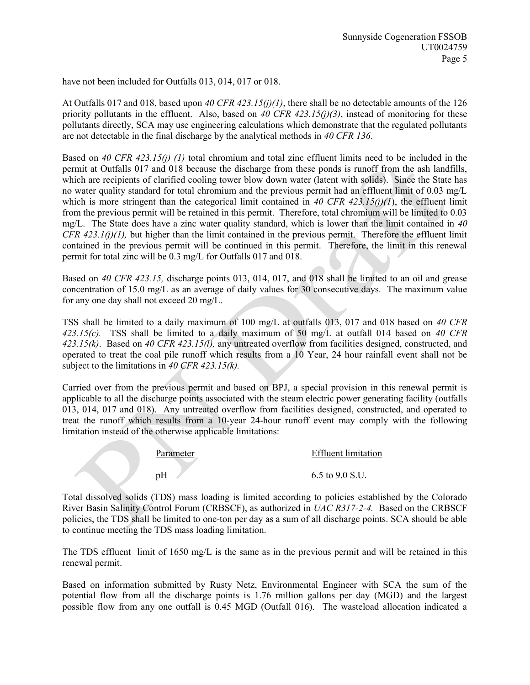have not been included for Outfalls 013, 014, 017 or 018.

At Outfalls 017 and 018, based upon 40 CFR 423.15(j)(1), there shall be no detectable amounts of the 126 priority pollutants in the effluent. Also, based on 40 CFR 423.15(j)(3), instead of monitoring for these pollutants directly, SCA may use engineering calculations which demonstrate that the regulated pollutants are not detectable in the final discharge by the analytical methods in 40 CFR 136.

Based on 40 CFR 423.15(j) (1) total chromium and total zinc effluent limits need to be included in the permit at Outfalls 017 and 018 because the discharge from these ponds is runoff from the ash landfills, which are recipients of clarified cooling tower blow down water (latent with solids). Since the State has no water quality standard for total chromium and the previous permit had an effluent limit of 0.03 mg/L which is more stringent than the categorical limit contained in 40 CFR 423.15(j)(1), the effluent limit from the previous permit will be retained in this permit. Therefore, total chromium will be limited to 0.03 mg/L. The State does have a zinc water quality standard, which is lower than the limit contained in 40 CFR 423.1(j)(1), but higher than the limit contained in the previous permit. Therefore the effluent limit contained in the previous permit will be continued in this permit. Therefore, the limit in this renewal permit for total zinc will be 0.3 mg/L for Outfalls 017 and 018.

Based on 40 CFR 423.15, discharge points 013, 014, 017, and 018 shall be limited to an oil and grease concentration of 15.0 mg/L as an average of daily values for 30 consecutive days. The maximum value for any one day shall not exceed 20 mg/L.

TSS shall be limited to a daily maximum of 100 mg/L at outfalls 013, 017 and 018 based on 40 CFR 423.15(c). TSS shall be limited to a daily maximum of 50 mg/L at outfall 014 based on 40 CFR 423.15(k). Based on 40 CFR 423.15(l), any untreated overflow from facilities designed, constructed, and operated to treat the coal pile runoff which results from a 10 Year, 24 hour rainfall event shall not be subject to the limitations in 40 CFR 423.15(k).

Carried over from the previous permit and based on BPJ, a special provision in this renewal permit is applicable to all the discharge points associated with the steam electric power generating facility (outfalls 013, 014, 017 and 018). Any untreated overflow from facilities designed, constructed, and operated to treat the runoff which results from a 10-year 24-hour runoff event may comply with the following limitation instead of the otherwise applicable limitations:



Total dissolved solids (TDS) mass loading is limited according to policies established by the Colorado River Basin Salinity Control Forum (CRBSCF), as authorized in UAC R317-2-4. Based on the CRBSCF policies, the TDS shall be limited to one-ton per day as a sum of all discharge points. SCA should be able to continue meeting the TDS mass loading limitation.

The TDS effluent limit of 1650 mg/L is the same as in the previous permit and will be retained in this renewal permit.

Based on information submitted by Rusty Netz, Environmental Engineer with SCA the sum of the potential flow from all the discharge points is 1.76 million gallons per day (MGD) and the largest possible flow from any one outfall is 0.45 MGD (Outfall 016). The wasteload allocation indicated a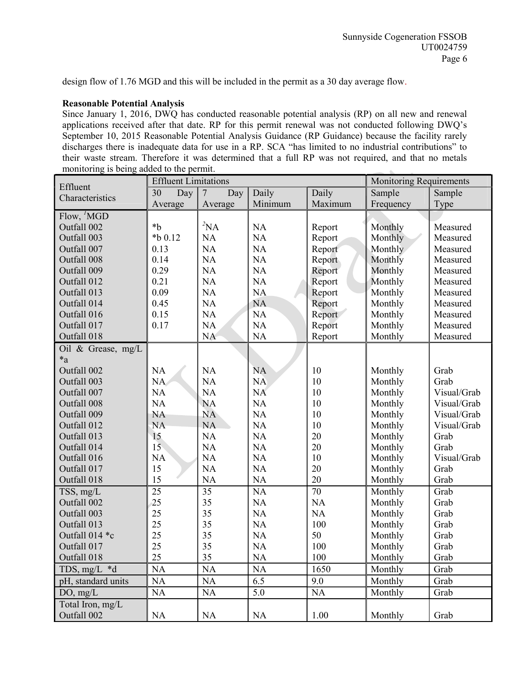design flow of 1.76 MGD and this will be included in the permit as a 30 day average flow.

#### Reasonable Potential Analysis

Since January 1, 2016, DWQ has conducted reasonable potential analysis (RP) on all new and renewal applications received after that date. RP for this permit renewal was not conducted following DWQ's September 10, 2015 Reasonable Potential Analysis Guidance (RP Guidance) because the facility rarely discharges there is inadequate data for use in a RP. SCA "has limited to no industrial contributions" to their waste stream. Therefore it was determined that a full RP was not required, and that no metals monitoring is being added to the permit.

| Effluent           | <b>Effluent Limitations</b> |                       |           |           | <b>Monitoring Requirements</b> |             |
|--------------------|-----------------------------|-----------------------|-----------|-----------|--------------------------------|-------------|
| Characteristics    | 30<br>Day                   | $\overline{7}$<br>Day | Daily     | Daily     | Sample                         | Sample      |
|                    | Average                     | Average               | Minimum   | Maximum   | Frequency                      | Type        |
| Flow, 'MGD         |                             |                       |           |           |                                |             |
| Outfall 002        | $b^*$                       | ${}^{2}NA$            | NA        | Report    | Monthly                        | Measured    |
| Outfall 003        | $*$ b 0.12                  | <b>NA</b>             | NA        | Report    | Monthly                        | Measured    |
| Outfall 007        | 0.13                        | NA                    | <b>NA</b> | Report    | Monthly                        | Measured    |
| Outfall 008        | 0.14                        | NA                    | NA        | Report    | Monthly                        | Measured    |
| Outfall 009        | 0.29                        | NA                    | NA        | Report    | Monthly                        | Measured    |
| Outfall 012        | 0.21                        | NA                    | <b>NA</b> | Report    | Monthly                        | Measured    |
| Outfall 013        | 0.09                        | NA                    | NA        | Report    | Monthly                        | Measured    |
| Outfall 014        | 0.45                        | NA                    | <b>NA</b> | Report    | Monthly                        | Measured    |
| Outfall 016        | 0.15                        | NA                    | <b>NA</b> | Report    | Monthly                        | Measured    |
| Outfall 017        | 0.17                        | NA                    | NA        | Report    | Monthly                        | Measured    |
| Outfall 018        |                             | <b>NA</b>             | NA        | Report    | Monthly                        | Measured    |
| Oil & Grease, mg/L |                             |                       |           |           |                                |             |
| $*_a$              |                             |                       |           |           |                                |             |
| Outfall 002        | NA                          | NA                    | <b>NA</b> | 10        | Monthly                        | Grab        |
| Outfall 003        | <b>NA</b>                   | NA                    | <b>NA</b> | 10        | Monthly                        | Grab        |
| Outfall 007        | <b>NA</b>                   | NA                    | <b>NA</b> | 10        | Monthly                        | Visual/Grab |
| Outfall 008        | NA                          | <b>NA</b>             | NA        | 10        | Monthly                        | Visual/Grab |
| Outfall 009        | <b>NA</b>                   | <b>NA</b>             | NA        | 10        | Monthly                        | Visual/Grab |
| Outfall 012        | <b>NA</b>                   | <b>NA</b>             | NA        | 10        | Monthly                        | Visual/Grab |
| Outfall 013        | 15                          | NA                    | NA        | 20        | Monthly                        | Grab        |
| Outfall 014        | 15 <sup>5</sup>             | NA                    | NA        | 20        | Monthly                        | Grab        |
| Outfall 016        | NA                          | NA                    | NA        | 10        | Monthly                        | Visual/Grab |
| Outfall 017        | 15                          | NA                    | NA        | 20        | Monthly                        | Grab        |
| Outfall 018        | 15                          | NA                    | $\rm NA$  | 20        | Monthly                        | Grab        |
| TSS, mg/L          | 25                          | 35                    | NA        | 70        | Monthly                        | Grab        |
| Outfall 002        | 25                          | 35                    | NA        | NA        | Monthly                        | Grab        |
| Outfall 003        | 25                          | 35                    | NA        | NA        | Monthly                        | Grab        |
| Outfall 013        | 25                          | 35                    | NA        | 100       | Monthly                        | Grab        |
| Outfall 014 *c     | 25                          | 35                    | NA        | 50        | Monthly                        | Grab        |
| Outfall 017        | 25                          | 35                    | NA        | 100       | Monthly                        | Grab        |
| Outfall 018        | 25                          | 35                    | $\rm NA$  | 100       | Monthly                        | Grab        |
| TDS, mg/L *d       | <b>NA</b>                   | <b>NA</b>             | <b>NA</b> | 1650      | Monthly                        | Grab        |
| pH, standard units | <b>NA</b>                   | <b>NA</b>             | 6.5       | 9.0       | Monthly                        | Grab        |
| DO, mg/L           | <b>NA</b>                   | <b>NA</b>             | 5.0       | <b>NA</b> | Monthly                        | Grab        |
| Total Iron, mg/L   |                             |                       |           |           |                                |             |
| Outfall 002        | <b>NA</b>                   | NA                    | <b>NA</b> | 1.00      | Monthly                        | Grab        |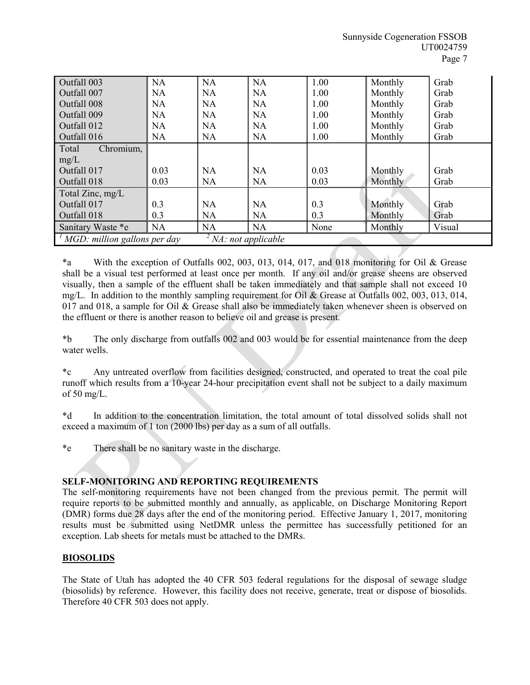| Outfall 003                                        | <b>NA</b> | <b>NA</b> | <b>NA</b> | 1.00 | Monthly | Grab   |
|----------------------------------------------------|-----------|-----------|-----------|------|---------|--------|
| Outfall 007                                        | <b>NA</b> | <b>NA</b> | <b>NA</b> | 1.00 | Monthly | Grab   |
| Outfall 008                                        | <b>NA</b> | <b>NA</b> | <b>NA</b> | 1.00 | Monthly | Grab   |
| Outfall 009                                        | <b>NA</b> | <b>NA</b> | <b>NA</b> | 1.00 | Monthly | Grab   |
| Outfall 012                                        | <b>NA</b> | <b>NA</b> | <b>NA</b> | 1.00 | Monthly | Grab   |
| Outfall 016                                        | <b>NA</b> | <b>NA</b> | <b>NA</b> | 1.00 | Monthly | Grab   |
| Total<br>Chromium,                                 |           |           |           |      |         |        |
| mg/L                                               |           |           |           |      |         |        |
| Outfall 017                                        | 0.03      | <b>NA</b> | <b>NA</b> | 0.03 | Monthly | Grab   |
| Outfall 018                                        | 0.03      | <b>NA</b> | <b>NA</b> | 0.03 | Monthly | Grab   |
| Total Zinc, mg/L                                   |           |           |           |      |         |        |
| Outfall 017                                        | 0.3       | <b>NA</b> | <b>NA</b> | 0.3  | Monthly | Grab   |
| Outfall 018                                        | 0.3       | <b>NA</b> | <b>NA</b> | 0.3  | Monthly | Grab   |
| Sanitary Waste *e                                  | <b>NA</b> | <b>NA</b> | <b>NA</b> | None | Monthly | Visual |
| MGD: million gallons per day<br>NA: not applicable |           |           |           |      |         |        |

\*a With the exception of Outfalls 002, 003, 013, 014, 017, and 018 monitoring for Oil & Grease shall be a visual test performed at least once per month. If any oil and/or grease sheens are observed visually, then a sample of the effluent shall be taken immediately and that sample shall not exceed 10 mg/L. In addition to the monthly sampling requirement for Oil & Grease at Outfalls 002, 003, 013, 014, 017 and 018, a sample for Oil & Grease shall also be immediately taken whenever sheen is observed on the effluent or there is another reason to believe oil and grease is present.

\*b The only discharge from outfalls 002 and 003 would be for essential maintenance from the deep water wells.

\*c Any untreated overflow from facilities designed, constructed, and operated to treat the coal pile runoff which results from a 10-year 24-hour precipitation event shall not be subject to a daily maximum of 50 mg/L.

\*d In addition to the concentration limitation, the total amount of total dissolved solids shall not exceed a maximum of 1 ton (2000 lbs) per day as a sum of all outfalls.

\*e There shall be no sanitary waste in the discharge.

# SELF-MONITORING AND REPORTING REQUIREMENTS

The self-monitoring requirements have not been changed from the previous permit. The permit will require reports to be submitted monthly and annually, as applicable, on Discharge Monitoring Report (DMR) forms due 28 days after the end of the monitoring period. Effective January 1, 2017, monitoring results must be submitted using NetDMR unless the permittee has successfully petitioned for an exception. Lab sheets for metals must be attached to the DMRs.

# BIOSOLIDS

The State of Utah has adopted the 40 CFR 503 federal regulations for the disposal of sewage sludge (biosolids) by reference. However, this facility does not receive, generate, treat or dispose of biosolids. Therefore 40 CFR 503 does not apply.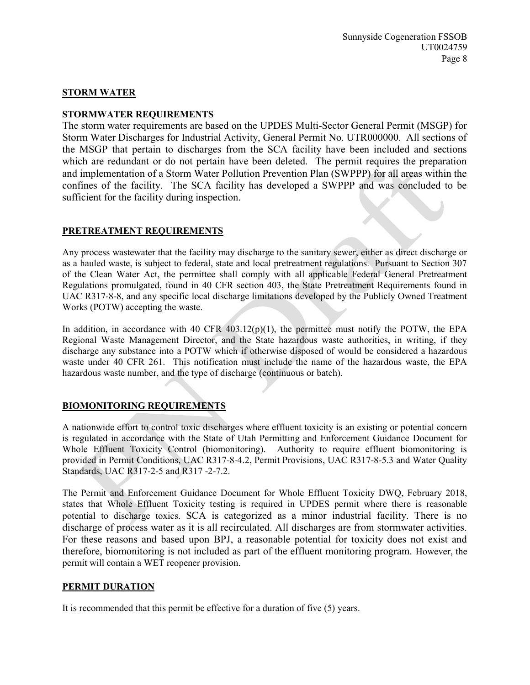# STORM WATER

#### STORMWATER REQUIREMENTS

The storm water requirements are based on the UPDES Multi-Sector General Permit (MSGP) for Storm Water Discharges for Industrial Activity, General Permit No. UTR000000. All sections of the MSGP that pertain to discharges from the SCA facility have been included and sections which are redundant or do not pertain have been deleted. The permit requires the preparation and implementation of a Storm Water Pollution Prevention Plan (SWPPP) for all areas within the confines of the facility. The SCA facility has developed a SWPPP and was concluded to be sufficient for the facility during inspection.

#### PRETREATMENT REQUIREMENTS

Any process wastewater that the facility may discharge to the sanitary sewer, either as direct discharge or as a hauled waste, is subject to federal, state and local pretreatment regulations. Pursuant to Section 307 of the Clean Water Act, the permittee shall comply with all applicable Federal General Pretreatment Regulations promulgated, found in 40 CFR section 403, the State Pretreatment Requirements found in UAC R317-8-8, and any specific local discharge limitations developed by the Publicly Owned Treatment Works (POTW) accepting the waste.

In addition, in accordance with 40 CFR 403.12(p)(1), the permittee must notify the POTW, the EPA Regional Waste Management Director, and the State hazardous waste authorities, in writing, if they discharge any substance into a POTW which if otherwise disposed of would be considered a hazardous waste under 40 CFR 261. This notification must include the name of the hazardous waste, the EPA hazardous waste number, and the type of discharge (continuous or batch).

# BIOMONITORING REQUIREMENTS

A nationwide effort to control toxic discharges where effluent toxicity is an existing or potential concern is regulated in accordance with the State of Utah Permitting and Enforcement Guidance Document for Whole Effluent Toxicity Control (biomonitoring). Authority to require effluent biomonitoring is provided in Permit Conditions, UAC R317-8-4.2, Permit Provisions, UAC R317-8-5.3 and Water Quality Standards, UAC R317-2-5 and R317 -2-7.2.

The Permit and Enforcement Guidance Document for Whole Effluent Toxicity DWQ, February 2018, states that Whole Effluent Toxicity testing is required in UPDES permit where there is reasonable potential to discharge toxics. SCA is categorized as a minor industrial facility. There is no discharge of process water as it is all recirculated. All discharges are from stormwater activities. For these reasons and based upon BPJ, a reasonable potential for toxicity does not exist and therefore, biomonitoring is not included as part of the effluent monitoring program. However, the permit will contain a WET reopener provision.

#### PERMIT DURATION

It is recommended that this permit be effective for a duration of five (5) years.